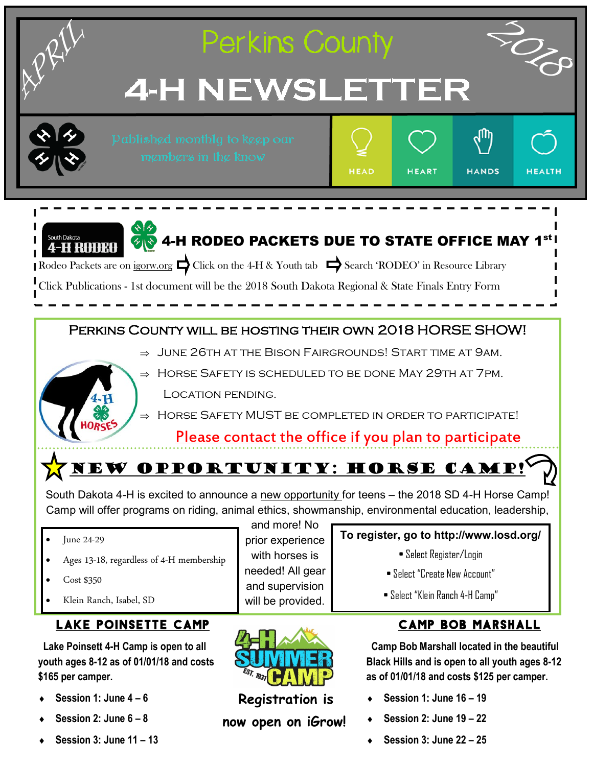

- **Session 1: June 4 – 6**
- **Session 2: June 6 – 8**
- **Session 3: June 11 – 13**
- **Registration is now open on iGrow!**
- **Session 1: June 16 – 19**
- **Session 2: June 19 – 22**
- **Session 3: June 22 – 25**